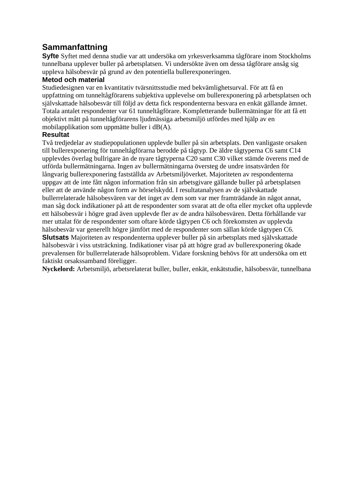## **Sammanfattning**

**Syfte** Syftet med denna studie var att undersöka om yrkesverksamma tågförare inom Stockholms tunnelbana upplever buller på arbetsplatsen. Vi undersökte även om dessa tågförare ansåg sig uppleva hälsobesvär på grund av den potentiella bullerexponeringen.

## **Metod och material**

Studiedesignen var en kvantitativ tvärsnittsstudie med bekvämlighetsurval. För att få en uppfattning om tunneltågförarens subjektiva upplevelse om bullerexponering på arbetsplatsen och självskattade hälsobesvär till följd av detta fick respondenterna besvara en enkät gällande ämnet. Totala antalet respondenter var 61 tunneltågförare. Kompletterande bullermätningar för att få ett objektivt mått på tunneltågförarens ljudmässiga arbetsmiljö utfördes med hjälp av en mobilapplikation som uppmätte buller i dB(A).

## **Resultat**

Två tredjedelar av studiepopulationen upplevde buller på sin arbetsplats. Den vanligaste orsaken till bullerexponering för tunneltågförarna berodde på tågtyp. De äldre tågtyperna C6 samt C14 upplevdes överlag bullrigare än de nyare tågtyperna C20 samt C30 vilket stämde överens med de utförda bullermätningarna. Ingen av bullermätningarna översteg de undre insatsvärden för långvarig bullerexponering fastställda av Arbetsmiljöverket. Majoriteten av respondenterna uppgav att de inte fått någon information från sin arbetsgivare gällande buller på arbetsplatsen eller att de använde någon form av hörselskydd. I resultatanalysen av de självskattade bullerrelaterade hälsobesvären var det inget av dem som var mer framträdande än något annat, man såg dock indikationer på att de respondenter som svarat att de ofta eller mycket ofta upplevde ett hälsobesvär i högre grad även upplevde fler av de andra hälsobesvären. Detta förhållande var mer uttalat för de respondenter som oftare körde tågtypen C6 och förekomsten av upplevda hälsobesvär var generellt högre jämfört med de respondenter som sällan körde tågtypen C6. **Slutsats** Majoriteten av respondenterna upplever buller på sin arbetsplats med självskattade hälsobesvär i viss utsträckning. Indikationer visar på att högre grad av bullerexponering ökade prevalensen för bullerrelaterade hälsoproblem. Vidare forskning behövs för att undersöka om ett

faktiskt orsakssamband föreligger.

**Nyckelord:** Arbetsmiljö, arbetsrelaterat buller, buller, enkät, enkätstudie, hälsobesvär, tunnelbana